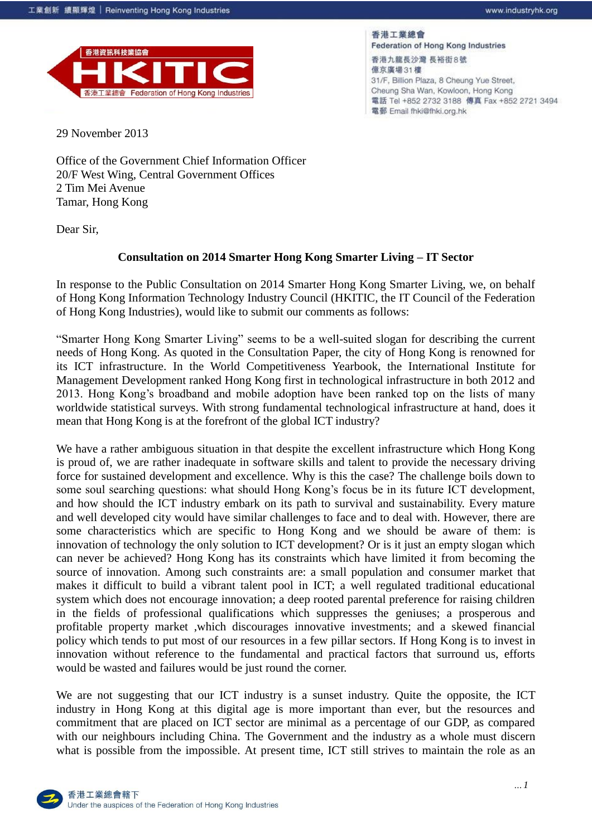

香港工業總會 Federation of Hong Kong Industries

香港九龍長沙灣 長裕街8號 億京廣場31樓 31/F, Billion Plaza, 8 Cheung Yue Street, Cheung Sha Wan, Kowloon, Hong Kong 電話 Tel +852 2732 3188 傳真 Fax +852 2721 3494 電郵 Email fhki@fhki.org.hk

29 November 2013

Office of the Government Chief Information Officer 20/F West Wing, Central Government Offices 2 Tim Mei Avenue Tamar, Hong Kong

Dear Sir,

## **Consultation on 2014 Smarter Hong Kong Smarter Living – IT Sector**

In response to the Public Consultation on 2014 Smarter Hong Kong Smarter Living, we, on behalf of Hong Kong Information Technology Industry Council (HKITIC, the IT Council of the Federation of Hong Kong Industries), would like to submit our comments as follows:

"Smarter Hong Kong Smarter Living" seems to be a well-suited slogan for describing the current needs of Hong Kong. As quoted in the Consultation Paper, the city of Hong Kong is renowned for its ICT infrastructure. In the World Competitiveness Yearbook, the International Institute for Management Development ranked Hong Kong first in technological infrastructure in both 2012 and 2013. Hong Kong's broadband and mobile adoption have been ranked top on the lists of many worldwide statistical surveys. With strong fundamental technological infrastructure at hand, does it mean that Hong Kong is at the forefront of the global ICT industry?

We have a rather ambiguous situation in that despite the excellent infrastructure which Hong Kong is proud of, we are rather inadequate in software skills and talent to provide the necessary driving force for sustained development and excellence. Why is this the case? The challenge boils down to some soul searching questions: what should Hong Kong's focus be in its future ICT development, and how should the ICT industry embark on its path to survival and sustainability. Every mature and well developed city would have similar challenges to face and to deal with. However, there are some characteristics which are specific to Hong Kong and we should be aware of them: is innovation of technology the only solution to ICT development? Or is it just an empty slogan which can never be achieved? Hong Kong has its constraints which have limited it from becoming the source of innovation. Among such constraints are: a small population and consumer market that makes it difficult to build a vibrant talent pool in ICT; a well regulated traditional educational system which does not encourage innovation; a deep rooted parental preference for raising children in the fields of professional qualifications which suppresses the geniuses; a prosperous and profitable property market ,which discourages innovative investments; and a skewed financial policy which tends to put most of our resources in a few pillar sectors. If Hong Kong is to invest in innovation without reference to the fundamental and practical factors that surround us, efforts would be wasted and failures would be just round the corner.

We are not suggesting that our ICT industry is a sunset industry. Quite the opposite, the ICT industry in Hong Kong at this digital age is more important than ever, but the resources and commitment that are placed on ICT sector are minimal as a percentage of our GDP, as compared with our neighbours including China. The Government and the industry as a whole must discern what is possible from the impossible. At present time, ICT still strives to maintain the role as an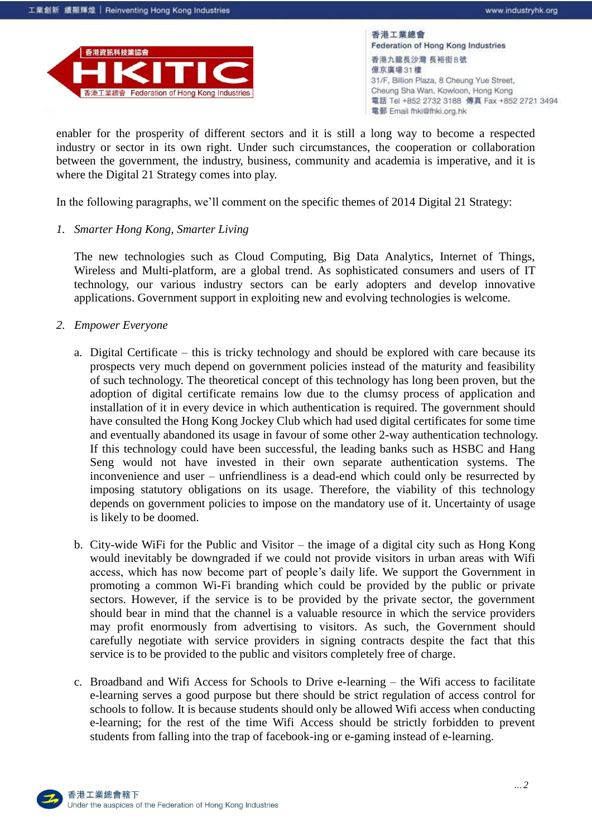

enabler for the prosperity of different sectors and it is still a long way to become a respected industry or sector in its own right. Under such circumstances, the cooperation or collaboration between the government, the industry, business, community and academia is imperative, and it is where the Digital 21 Strategy comes into play.

In the following paragraphs, we'll comment on the specific themes of 2014 Digital 21 Strategy:

*1. Smarter Hong Kong, Smarter Living*

The new technologies such as Cloud Computing, Big Data Analytics, Internet of Things, Wireless and Multi-platform, are a global trend. As sophisticated consumers and users of IT technology, our various industry sectors can be early adopters and develop innovative applications. Government support in exploiting new and evolving technologies is welcome.

- *2. Empower Everyone*
	- a. Digital Certificate this is tricky technology and should be explored with care because its prospects very much depend on government policies instead of the maturity and feasibility of such technology. The theoretical concept of this technology has long been proven, but the adoption of digital certificate remains low due to the clumsy process of application and installation of it in every device in which authentication is required. The government should have consulted the Hong Kong Jockey Club which had used digital certificates for some time and eventually abandoned its usage in favour of some other 2-way authentication technology. If this technology could have been successful, the leading banks such as HSBC and Hang Seng would not have invested in their own separate authentication systems. The inconvenience and user – unfriendliness is a dead-end which could only be resurrected by imposing statutory obligations on its usage. Therefore, the viability of this technology depends on government policies to impose on the mandatory use of it. Uncertainty of usage is likely to be doomed.
	- b. City-wide WiFi for the Public and Visitor the image of a digital city such as Hong Kong would inevitably be downgraded if we could not provide visitors in urban areas with Wifi access, which has now become part of people's daily life. We support the Government in promoting a common Wi-Fi branding which could be provided by the public or private sectors. However, if the service is to be provided by the private sector, the government should bear in mind that the channel is a valuable resource in which the service providers may profit enormously from advertising to visitors. As such, the Government should carefully negotiate with service providers in signing contracts despite the fact that this service is to be provided to the public and visitors completely free of charge.
	- c. Broadband and Wifi Access for Schools to Drive e-learning the Wifi access to facilitate e-learning serves a good purpose but there should be strict regulation of access control for schools to follow. It is because students should only be allowed Wifi access when conducting e-learning; for the rest of the time Wifi Access should be strictly forbidden to prevent students from falling into the trap of facebook-ing or e-gaming instead of e-learning.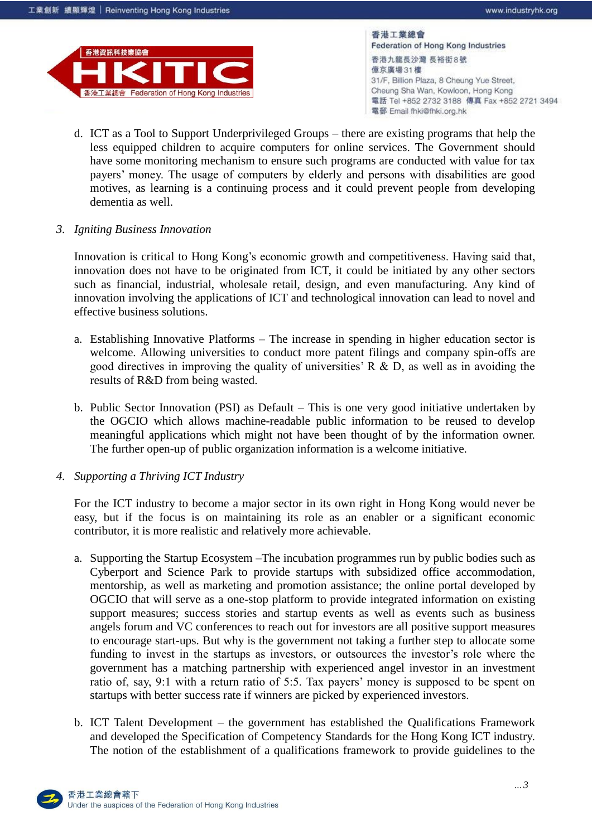

- d. ICT as a Tool to Support Underprivileged Groups there are existing programs that help the less equipped children to acquire computers for online services. The Government should have some monitoring mechanism to ensure such programs are conducted with value for tax payers' money. The usage of computers by elderly and persons with disabilities are good motives, as learning is a continuing process and it could prevent people from developing dementia as well.
- *3. Igniting Business Innovation*

Innovation is critical to Hong Kong's economic growth and competitiveness. Having said that, innovation does not have to be originated from ICT, it could be initiated by any other sectors such as financial, industrial, wholesale retail, design, and even manufacturing. Any kind of innovation involving the applications of ICT and technological innovation can lead to novel and effective business solutions.

- a. Establishing Innovative Platforms The increase in spending in higher education sector is welcome. Allowing universities to conduct more patent filings and company spin-offs are good directives in improving the quality of universities' R  $\&$  D, as well as in avoiding the results of R&D from being wasted.
- b. Public Sector Innovation (PSI) as Default This is one very good initiative undertaken by the OGCIO which allows machine-readable public information to be reused to develop meaningful applications which might not have been thought of by the information owner. The further open-up of public organization information is a welcome initiative.
- *4. Supporting a Thriving ICT Industry*

For the ICT industry to become a major sector in its own right in Hong Kong would never be easy, but if the focus is on maintaining its role as an enabler or a significant economic contributor, it is more realistic and relatively more achievable.

- a. Supporting the Startup Ecosystem –The incubation programmes run by public bodies such as Cyberport and Science Park to provide startups with subsidized office accommodation, mentorship, as well as marketing and promotion assistance; the online portal developed by OGCIO that will serve as a one-stop platform to provide integrated information on existing support measures; success stories and startup events as well as events such as business angels forum and VC conferences to reach out for investors are all positive support measures to encourage start-ups. But why is the government not taking a further step to allocate some funding to invest in the startups as investors, or outsources the investor's role where the government has a matching partnership with experienced angel investor in an investment ratio of, say, 9:1 with a return ratio of 5:5. Tax payers' money is supposed to be spent on startups with better success rate if winners are picked by experienced investors.
- b. ICT Talent Development the government has established the Qualifications Framework and developed the Specification of Competency Standards for the Hong Kong ICT industry. The notion of the establishment of a qualifications framework to provide guidelines to the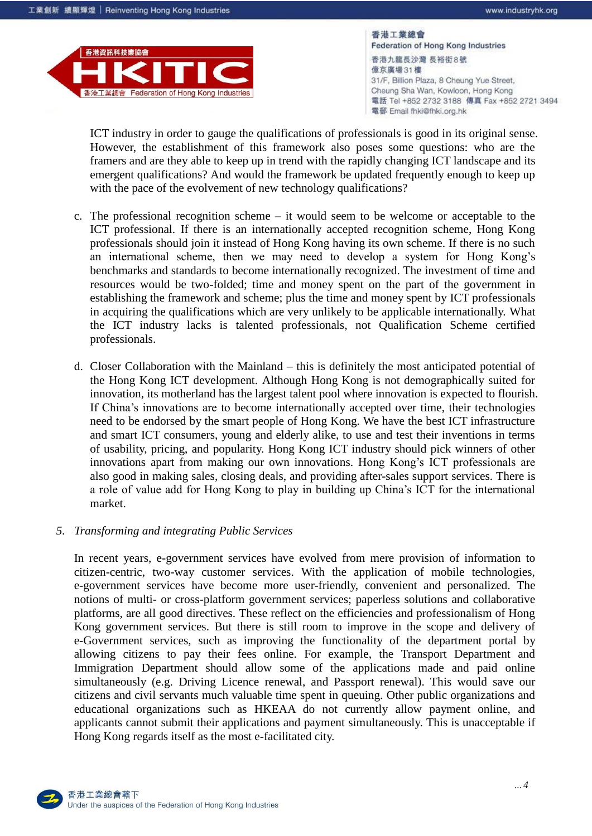

ICT industry in order to gauge the qualifications of professionals is good in its original sense. However, the establishment of this framework also poses some questions: who are the framers and are they able to keep up in trend with the rapidly changing ICT landscape and its emergent qualifications? And would the framework be updated frequently enough to keep up with the pace of the evolvement of new technology qualifications?

- c. The professional recognition scheme it would seem to be welcome or acceptable to the ICT professional. If there is an internationally accepted recognition scheme, Hong Kong professionals should join it instead of Hong Kong having its own scheme. If there is no such an international scheme, then we may need to develop a system for Hong Kong's benchmarks and standards to become internationally recognized. The investment of time and resources would be two-folded; time and money spent on the part of the government in establishing the framework and scheme; plus the time and money spent by ICT professionals in acquiring the qualifications which are very unlikely to be applicable internationally. What the ICT industry lacks is talented professionals, not Qualification Scheme certified professionals.
- d. Closer Collaboration with the Mainland this is definitely the most anticipated potential of the Hong Kong ICT development. Although Hong Kong is not demographically suited for innovation, its motherland has the largest talent pool where innovation is expected to flourish. If China's innovations are to become internationally accepted over time, their technologies need to be endorsed by the smart people of Hong Kong. We have the best ICT infrastructure and smart ICT consumers, young and elderly alike, to use and test their inventions in terms of usability, pricing, and popularity. Hong Kong ICT industry should pick winners of other innovations apart from making our own innovations. Hong Kong's ICT professionals are also good in making sales, closing deals, and providing after-sales support services. There is a role of value add for Hong Kong to play in building up China's ICT for the international market.
- *5. Transforming and integrating Public Services*

In recent years, e-government services have evolved from mere provision of information to citizen-centric, two-way customer services. With the application of mobile technologies, e-government services have become more user-friendly, convenient and personalized. The notions of multi- or cross-platform government services; paperless solutions and collaborative platforms, are all good directives. These reflect on the efficiencies and professionalism of Hong Kong government services. But there is still room to improve in the scope and delivery of e-Government services, such as improving the functionality of the department portal by allowing citizens to pay their fees online. For example, the Transport Department and Immigration Department should allow some of the applications made and paid online simultaneously (e.g. Driving Licence renewal, and Passport renewal). This would save our citizens and civil servants much valuable time spent in queuing. Other public organizations and educational organizations such as HKEAA do not currently allow payment online, and applicants cannot submit their applications and payment simultaneously. This is unacceptable if Hong Kong regards itself as the most e-facilitated city.